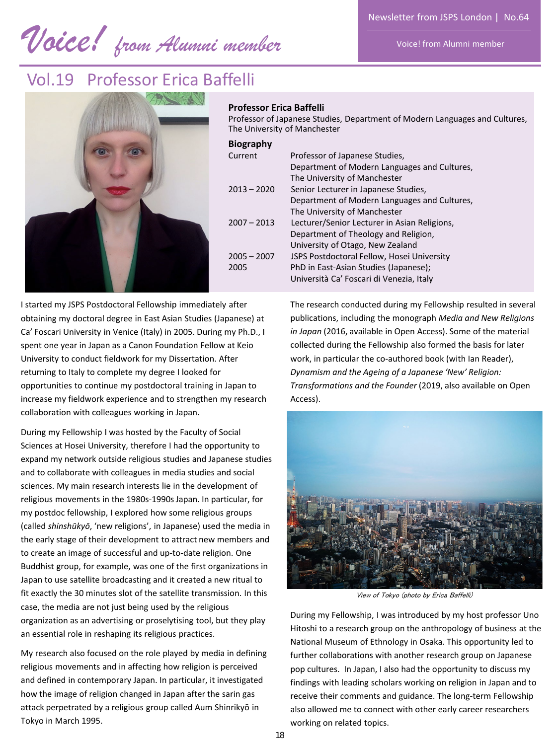Voice! from Alumni member

*Voice! from Alumni member* 

## Vol.19 Professor Erica Baffelli



#### **Professor Erica Baffelli**

Professor of Japanese Studies, Department of Modern Languages and Cultures, The University of Manchester

| <b>Biography</b> |  |
|------------------|--|
|------------------|--|

| pingrapiiy    |                                              |
|---------------|----------------------------------------------|
| Current       | Professor of Japanese Studies,               |
|               | Department of Modern Languages and Cultures, |
|               | The University of Manchester                 |
| $2013 - 2020$ | Senior Lecturer in Japanese Studies,         |
|               | Department of Modern Languages and Cultures, |
|               | The University of Manchester                 |
| $2007 - 2013$ | Lecturer/Senior Lecturer in Asian Religions, |
|               | Department of Theology and Religion,         |
|               | University of Otago, New Zealand             |
| $2005 - 2007$ | JSPS Postdoctoral Fellow, Hosei University   |
| 2005          | PhD in East-Asian Studies (Japanese);        |
|               | Università Ca' Foscari di Venezia, Italy     |
|               |                                              |

I started my JSPS Postdoctoral Fellowship immediately after obtaining my doctoral degree in East Asian Studies (Japanese) at Ca' Foscari University in Venice (Italy) in 2005. During my Ph.D., I spent one year in Japan as a Canon Foundation Fellow at Keio University to conduct fieldwork for my Dissertation. After returning to Italy to complete my degree I looked for opportunities to continue my postdoctoral training in Japan to increase my fieldwork experience and to strengthen my research collaboration with colleagues working in Japan.

During my Fellowship I was hosted by the Faculty of Social Sciences at Hosei University, therefore I had the opportunity to expand my network outside religious studies and Japanese studies and to collaborate with colleagues in media studies and social sciences. My main research interests lie in the development of religious movements in the 1980s-1990s Japan. In particular, for my postdoc fellowship, I explored how some religious groups (called *shinshūkyō*, 'new religions', in Japanese) used the media in the early stage of their development to attract new members and to create an image of successful and up-to-date religion. One Buddhist group, for example, was one of the first organizations in Japan to use satellite broadcasting and it created a new ritual to fit exactly the 30 minutes slot of the satellite transmission. In this case, the media are not just being used by the religious organization as an advertising or proselytising tool, but they play an essential role in reshaping its religious practices.

My research also focused on the role played by media in defining religious movements and in affecting how religion is perceived and defined in contemporary Japan. In particular, it investigated how the image of religion changed in Japan after the sarin gas attack perpetrated by a religious group called Aum Shinrikyō in Tokyo in March 1995.

The research conducted during my Fellowship resulted in several publications, including the monograph *Media and New Religions in Japan* (2016, available in Open Access). Some of the material collected during the Fellowship also formed the basis for later work, in particular the co-authored book (with Ian Reader), *Dynamism and the Ageing of a Japanese 'New' Religion: Transformations and the Founder* (2019, also available on Open Access).



View of Tokyo (photo by Erica Baffelli)

During my Fellowship, I was introduced by my host professor Uno Hitoshi to a research group on the anthropology of business at the National Museum of Ethnology in Osaka. This opportunity led to further collaborations with another research group on Japanese pop cultures. In Japan, I also had the opportunity to discuss my findings with leading scholars working on religion in Japan and to receive their comments and guidance. The long-term Fellowship also allowed me to connect with other early career researchers working on related topics.